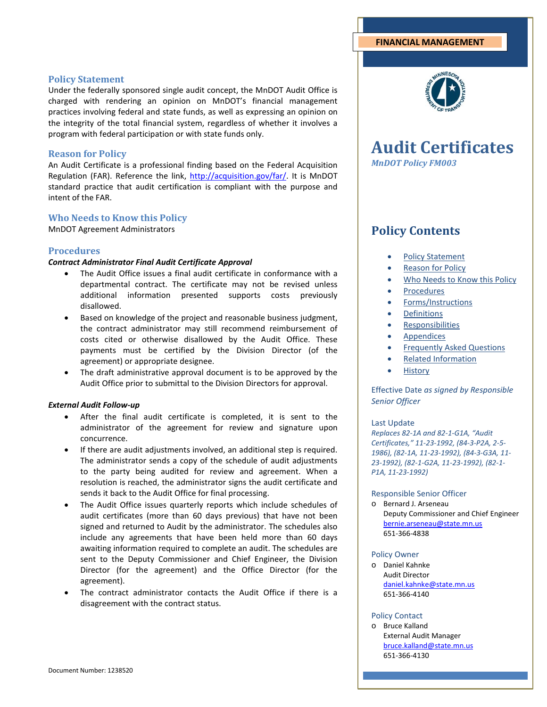# **FINANCIAL MANAGEMENT**

# **Policy Statement**

Under the federally sponsored single audit concept, the MnDOT Audit Office is charged with rendering an opinion on MnDOT's financial management practices involving federal and state funds, as well as expressing an opinion on the integrity of the total financial system, regardless of whether it involves a program with federal participation or with state funds only.

# **Reason for Policy**

An Audit Certificate is a professional finding based on the Federal Acquisition Regulation (FAR). Reference the link, [http://acquisition.gov/far/.](http://acquisition.gov/far/) It is MnDOT standard practice that audit certification is compliant with the purpose and intent of the FAR.

# **Who Needs to Know this Policy**

MnDOT Agreement Administrators

# **Procedures**

# *Contract Administrator Final Audit Certificate Approval*

- The Audit Office issues a final audit certificate in conformance with a departmental contract. The certificate may not be revised unless additional information presented supports costs previously disallowed.
- Based on knowledge of the project and reasonable business judgment, the contract administrator may still recommend reimbursement of costs cited or otherwise disallowed by the Audit Office. These payments must be certified by the Division Director (of the agreement) or appropriate designee.
- The draft administrative approval document is to be approved by the Audit Office prior to submittal to the Division Directors for approval.

# *External Audit Follow-up*

- After the final audit certificate is completed, it is sent to the administrator of the agreement for review and signature upon concurrence.
- If there are audit adjustments involved, an additional step is required. The administrator sends a copy of the schedule of audit adjustments to the party being audited for review and agreement. When a resolution is reached, the administrator signs the audit certificate and sends it back to the Audit Office for final processing.
- The Audit Office issues quarterly reports which include schedules of audit certificates (more than 60 days previous) that have not been signed and returned to Audit by the administrator. The schedules also include any agreements that have been held more than 60 days awaiting information required to complete an audit. The schedules are sent to the Deputy Commissioner and Chief Engineer, the Division Director (for the agreement) and the Office Director (for the agreement).
- The contract administrator contacts the Audit Office if there is a disagreement with the contract status.



# **Audit Certificates** *MnDOT Policy FM003*

# **Policy Contents**

- Policy Statement
- **Reason for Policy**
- Who Needs to Know this Policy
- **Procedures**
- Forms/Instructions
- **Definitions**
- Responsibilities
- **Appendices**
- Frequently Asked Questions
- Related Information
- **History**

Effective Date *as signed by Responsible Senior Officer*

#### Last Update

*Replaces 82-1A and 82-1-G1A, "Audit Certificates," 11-23-1992, (84-3-P2A, 2-5- 1986), (82-1A, 11-23-1992), (84-3-G3A, 11- 23-1992), (82-1-G2A, 11-23-1992), (82-1- P1A, 11-23-1992)*

#### Responsible Senior Officer

o Bernard J. Arseneau Deputy Commissioner and Chief Engineer [bernie.arseneau@state.mn.us](mailto:bernie.arseneau@state.mn.us) 651-366-4838

#### Policy Owner

o Daniel Kahnke Audit Director [daniel.kahnke@state.mn.us](mailto:daniel.kahnke@state.mn.us) 651-366-4140

#### Policy Contact

o Bruce Kalland External Audit Manager [bruce.kalland@state.mn.us](mailto:bruce.kalland@state.mn.us) 651-366-4130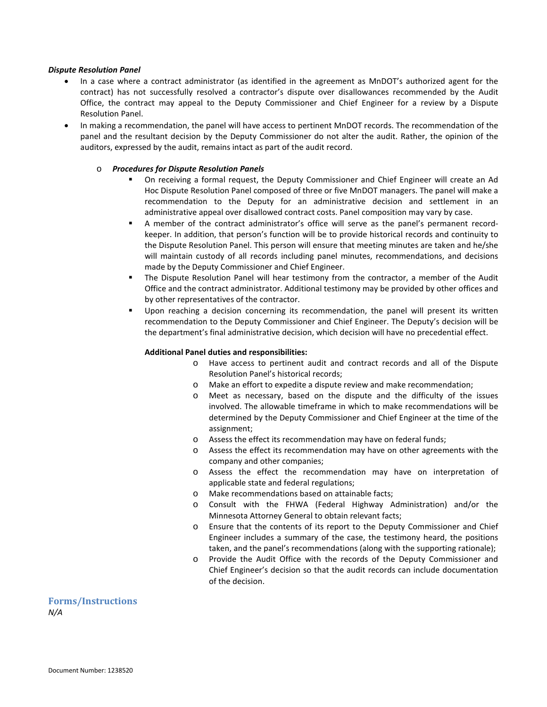#### *Dispute Resolution Panel*

- In a case where a contract administrator (as identified in the agreement as MnDOT's authorized agent for the contract) has not successfully resolved a contractor's dispute over disallowances recommended by the Audit Office, the contract may appeal to the Deputy Commissioner and Chief Engineer for a review by a Dispute Resolution Panel.
- In making a recommendation, the panel will have access to pertinent MnDOT records. The recommendation of the panel and the resultant decision by the Deputy Commissioner do not alter the audit. Rather, the opinion of the auditors, expressed by the audit, remains intact as part of the audit record.

#### o *Procedures for Dispute Resolution Panels*

- On receiving a formal request, the Deputy Commissioner and Chief Engineer will create an Ad Hoc Dispute Resolution Panel composed of three or five MnDOT managers. The panel will make a recommendation to the Deputy for an administrative decision and settlement in an administrative appeal over disallowed contract costs. Panel composition may vary by case.
- A member of the contract administrator's office will serve as the panel's permanent recordkeeper. In addition, that person's function will be to provide historical records and continuity to the Dispute Resolution Panel. This person will ensure that meeting minutes are taken and he/she will maintain custody of all records including panel minutes, recommendations, and decisions made by the Deputy Commissioner and Chief Engineer.
- The Dispute Resolution Panel will hear testimony from the contractor, a member of the Audit Office and the contract administrator. Additional testimony may be provided by other offices and by other representatives of the contractor.
- Upon reaching a decision concerning its recommendation, the panel will present its written recommendation to the Deputy Commissioner and Chief Engineer. The Deputy's decision will be the department's final administrative decision, which decision will have no precedential effect.

#### **Additional Panel duties and responsibilities:**

- o Have access to pertinent audit and contract records and all of the Dispute Resolution Panel's historical records;
- o Make an effort to expedite a dispute review and make recommendation;
- o Meet as necessary, based on the dispute and the difficulty of the issues involved. The allowable timeframe in which to make recommendations will be determined by the Deputy Commissioner and Chief Engineer at the time of the assignment;
- o Assess the effect its recommendation may have on federal funds;
- o Assess the effect its recommendation may have on other agreements with the company and other companies;
- o Assess the effect the recommendation may have on interpretation of applicable state and federal regulations;
- o Make recommendations based on attainable facts;
- o Consult with the FHWA (Federal Highway Administration) and/or the Minnesota Attorney General to obtain relevant facts;
- o Ensure that the contents of its report to the Deputy Commissioner and Chief Engineer includes a summary of the case, the testimony heard, the positions taken, and the panel's recommendations (along with the supporting rationale);
- o Provide the Audit Office with the records of the Deputy Commissioner and Chief Engineer's decision so that the audit records can include documentation of the decision.

**Forms/Instructions** *N/A*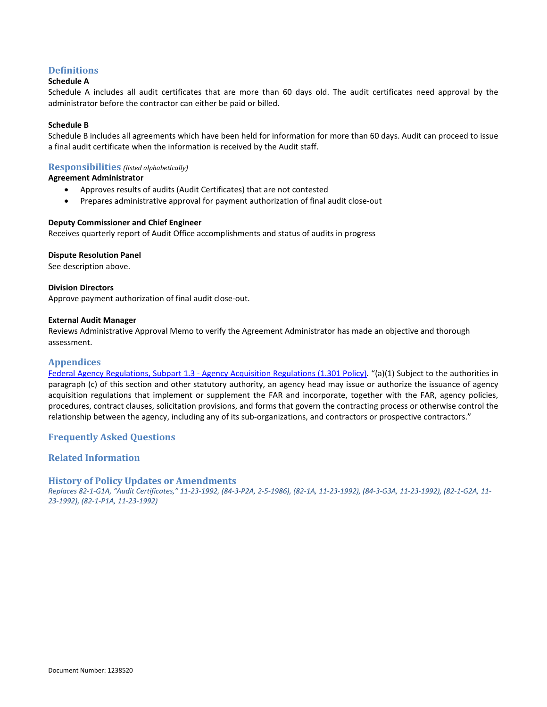# **Definitions**

# **Schedule A**

Schedule A includes all audit certificates that are more than 60 days old. The audit certificates need approval by the administrator before the contractor can either be paid or billed.

# **Schedule B**

Schedule B includes all agreements which have been held for information for more than 60 days. Audit can proceed to issue a final audit certificate when the information is received by the Audit staff.

# **Responsibilities** *(listed alphabetically)*

# **Agreement Administrator**

- Approves results of audits (Audit Certificates) that are not contested
- Prepares administrative approval for payment authorization of final audit close-out

# **Deputy Commissioner and Chief Engineer**

Receives quarterly report of Audit Office accomplishments and status of audits in progress

# **Dispute Resolution Panel**

See description above.

**Division Directors** Approve payment authorization of final audit close-out.

# **External Audit Manager**

Reviews Administrative Approval Memo to verify the Agreement Administrator has made an objective and thorough assessment.

# **Appendices**

Federal Agency Regulations, Subpart 1.3 - [Agency Acquisition Regulations \(1.301 Policy\).](http://acquisition.gov/far/reissue/FARvol1ForPaperOnly.pdf) "(a)(1) Subject to the authorities in paragraph (c) of this section and other statutory authority, an agency head may issue or authorize the issuance of agency acquisition regulations that implement or supplement the FAR and incorporate, together with the FAR, agency policies, procedures, contract clauses, solicitation provisions, and forms that govern the contracting process or otherwise control the relationship between the agency, including any of its sub-organizations, and contractors or prospective contractors."

# **Frequently Asked Questions**

# **Related Information**

# **History of Policy Updates or Amendments**

*Replaces 82-1-G1A, "Audit Certificates," 11-23-1992, (84-3-P2A, 2-5-1986), (82-1A, 11-23-1992), (84-3-G3A, 11-23-1992), (82-1-G2A, 11- 23-1992), (82-1-P1A, 11-23-1992)*